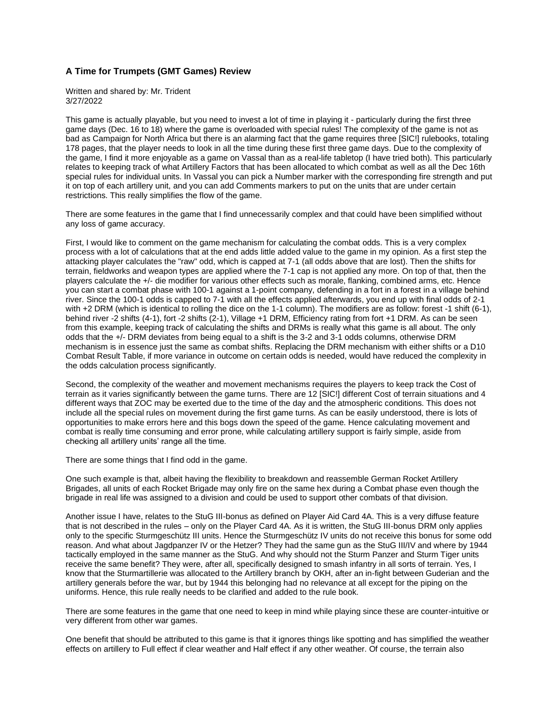## **A Time for Trumpets (GMT Games) Review**

Written and shared by: Mr. Trident 3/27/2022

This game is actually playable, but you need to invest a lot of time in playing it - particularly during the first three game days (Dec. 16 to 18) where the game is overloaded with special rules! The complexity of the game is not as bad as Campaign for North Africa but there is an alarming fact that the game requires three [SIC!] rulebooks, totaling 178 pages, that the player needs to look in all the time during these first three game days. Due to the complexity of the game, I find it more enjoyable as a game on Vassal than as a real-life tabletop (I have tried both). This particularly relates to keeping track of what Artillery Factors that has been allocated to which combat as well as all the Dec 16th special rules for individual units. In Vassal you can pick a Number marker with the corresponding fire strength and put it on top of each artillery unit, and you can add Comments markers to put on the units that are under certain restrictions. This really simplifies the flow of the game.

There are some features in the game that I find unnecessarily complex and that could have been simplified without any loss of game accuracy.

First, I would like to comment on the game mechanism for calculating the combat odds. This is a very complex process with a lot of calculations that at the end adds little added value to the game in my opinion. As a first step the attacking player calculates the "raw" odd, which is capped at 7-1 (all odds above that are lost). Then the shifts for terrain, fieldworks and weapon types are applied where the 7-1 cap is not applied any more. On top of that, then the players calculate the +/- die modifier for various other effects such as morale, flanking, combined arms, etc. Hence you can start a combat phase with 100-1 against a 1-point company, defending in a fort in a forest in a village behind river. Since the 100-1 odds is capped to 7-1 with all the effects applied afterwards, you end up with final odds of 2-1 with +2 DRM (which is identical to rolling the dice on the 1-1 column). The modifiers are as follow: forest -1 shift (6-1), behind river -2 shifts (4-1), fort -2 shifts (2-1), Village +1 DRM, Efficiency rating from fort +1 DRM. As can be seen from this example, keeping track of calculating the shifts and DRMs is really what this game is all about. The only odds that the +/- DRM deviates from being equal to a shift is the 3-2 and 3-1 odds columns, otherwise DRM mechanism is in essence just the same as combat shifts. Replacing the DRM mechanism with either shifts or a D10 Combat Result Table, if more variance in outcome on certain odds is needed, would have reduced the complexity in the odds calculation process significantly.

Second, the complexity of the weather and movement mechanisms requires the players to keep track the Cost of terrain as it varies significantly between the game turns. There are 12 [SIC!] different Cost of terrain situations and 4 different ways that ZOC may be exerted due to the time of the day and the atmospheric conditions. This does not include all the special rules on movement during the first game turns. As can be easily understood, there is lots of opportunities to make errors here and this bogs down the speed of the game. Hence calculating movement and combat is really time consuming and error prone, while calculating artillery support is fairly simple, aside from checking all artillery units' range all the time.

There are some things that I find odd in the game.

One such example is that, albeit having the flexibility to breakdown and reassemble German Rocket Artillery Brigades, all units of each Rocket Brigade may only fire on the same hex during a Combat phase even though the brigade in real life was assigned to a division and could be used to support other combats of that division.

Another issue I have, relates to the StuG III-bonus as defined on Player Aid Card 4A. This is a very diffuse feature that is not described in the rules – only on the Player Card 4A. As it is written, the StuG III-bonus DRM only applies only to the specific Sturmgeschütz III units. Hence the Sturmgeschütz IV units do not receive this bonus for some odd reason. And what about Jagdpanzer IV or the Hetzer? They had the same gun as the StuG III/IV and where by 1944 tactically employed in the same manner as the StuG. And why should not the Sturm Panzer and Sturm Tiger units receive the same benefit? They were, after all, specifically designed to smash infantry in all sorts of terrain. Yes, I know that the Sturmartillerie was allocated to the Artillery branch by OKH, after an in-fight between Guderian and the artillery generals before the war, but by 1944 this belonging had no relevance at all except for the piping on the uniforms. Hence, this rule really needs to be clarified and added to the rule book.

There are some features in the game that one need to keep in mind while playing since these are counter-intuitive or very different from other war games.

One benefit that should be attributed to this game is that it ignores things like spotting and has simplified the weather effects on artillery to Full effect if clear weather and Half effect if any other weather. Of course, the terrain also